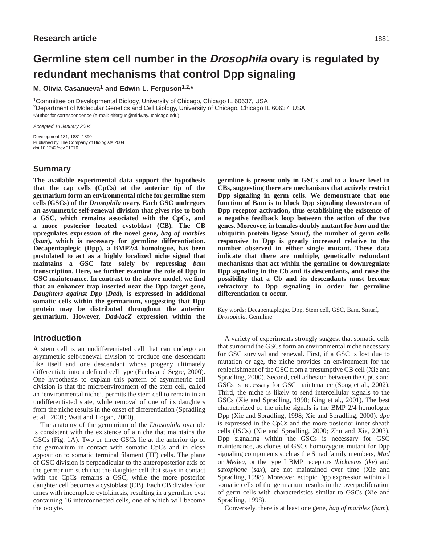# **Germline stem cell number in the Drosophila ovary is regulated by redundant mechanisms that control Dpp signaling**

**M. Olivia Casanueva1 and Edwin L. Ferguson1,2,\***

<sup>1</sup>Committee on Developmental Biology, University of Chicago, Chicago IL 60637, USA 2Department of Molecular Genetics and Cell Biology, University of Chicago, Chicago IL 60637, USA \*Author for correspondence (e-mail: elfergus@midway.uchicago.edu)

Accepted 14 January 2004

Development 131, 1881-1890 Published by The Company of Biologists 2004 doi:10.1242/dev.01076

# **Summary**

**The available experimental data support the hypothesis that the cap cells (CpCs) at the anterior tip of the germarium form an environmental niche for germline stem cells (GSCs) of the** *Drosophila* **ovary. Each GSC undergoes an asymmetric self-renewal division that gives rise to both a GSC, which remains associated with the CpCs, and a more posterior located cystoblast (CB). The CB upregulates expression of the novel gene,** *bag of marbles* **(***bam***), which is necessary for germline differentiation. Decapentaplegic (Dpp), a BMP2/4 homologue, has been postulated to act as a highly localized niche signal that maintains a GSC fate solely by repressing** *bam* **transcription. Here, we further examine the role of Dpp in GSC maintenance. In contrast to the above model, we find that an enhancer trap inserted near the Dpp target gene,** *Daughters against Dpp* **(***Dad***), is expressed in additional somatic cells within the germarium, suggesting that Dpp protein may be distributed throughout the anterior germarium. However,** *Dad-lacZ* **expression within the**

# **Introduction**

A stem cell is an undifferentiated cell that can undergo an asymmetric self-renewal division to produce one descendant like itself and one descendant whose progeny ultimately differentiate into a defined cell type (Fuchs and Segre, 2000). One hypothesis to explain this pattern of asymmetric cell division is that the microenvironment of the stem cell, called an 'environmental niche', permits the stem cell to remain in an undifferentiated state, while removal of one of its daughters from the niche results in the onset of differentiation (Spradling et al., 2001; Watt and Hogan, 2000).

The anatomy of the germarium of the *Drosophila* ovariole is consistent with the existence of a niche that maintains the GSCs (Fig. 1A). Two or three GSCs lie at the anterior tip of the germarium in contact with somatic CpCs and in close apposition to somatic terminal filament (TF) cells. The plane of GSC division is perpendicular to the anteroposterior axis of the germarium such that the daughter cell that stays in contact with the CpCs remains a GSC, while the more posterior daughter cell becomes a cystoblast (CB). Each CB divides four times with incomplete cytokinesis, resulting in a germline cyst containing 16 interconnected cells, one of which will become the oocyte.

**germline is present only in GSCs and to a lower level in CBs, suggesting there are mechanisms that actively restrict Dpp signaling in germ cells. We demonstrate that one function of Bam is to block Dpp signaling downstream of Dpp receptor activation, thus establishing the existence of a negative feedback loop between the action of the two genes. Moreover, in females doubly mutant for** *bam* **and the ubiquitin protein ligase** *Smurf***, the number of germ cells responsive to Dpp is greatly increased relative to the number observed in either single mutant. These data indicate that there are multiple, genetically redundant mechanisms that act within the germline to downregulate Dpp signaling in the Cb and its descendants, and raise the possibility that a Cb and its descendants must become refractory to Dpp signaling in order for germline differentiation to occur.**

Key words: Decapentaplegic, Dpp, Stem cell, GSC, Bam, Smurf, *Drosophila*, Germline

A variety of experiments strongly suggest that somatic cells that surround the GSCs form an environmental niche necessary for GSC survival and renewal. First, if a GSC is lost due to mutation or age, the niche provides an environment for the replenishment of the GSC from a presumptive CB cell (Xie and Spradling, 2000). Second, cell adhesion between the CpCs and GSCs is necessary for GSC maintenance (Song et al., 2002). Third, the niche is likely to send intercellular signals to the GSCs (Xie and Spradling, 1998; King et al., 2001). The best characterized of the niche signals is the BMP 2/4 homologue Dpp (Xie and Spradling, 1998; Xie and Spradling, 2000). *dpp* is expressed in the CpCs and the more posterior inner sheath cells (ISCs) (Xie and Spradling, 2000; Zhu and Xie, 2003). Dpp signaling within the GSCs is necessary for GSC maintenance, as clones of GSCs homozygous mutant for Dpp signaling components such as the Smad family members, *Mad* or *Medea*, or the type I BMP receptors *thickveins* (*tkv*) and *saxophone* (*sax*), are not maintained over time (Xie and Spradling, 1998). Moreover, ectopic Dpp expression within all somatic cells of the germarium results in the overproliferation of germ cells with characteristics similar to GSCs (Xie and Spradling, 1998).

Conversely, there is at least one gene, *bag of marbles* (*bam*),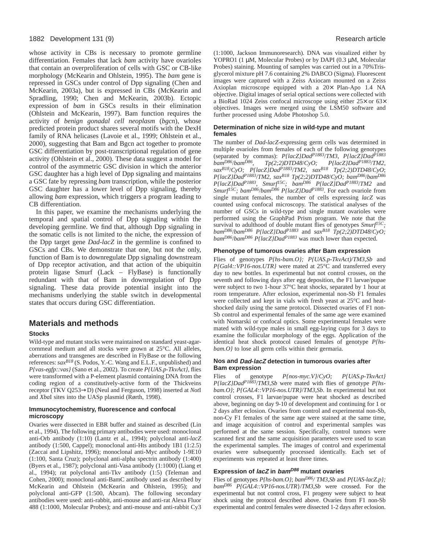#### 1882 Development 131 (9) **Research article Research article Research article Research article**

whose activity in CBs is necessary to promote germline differentiation. Females that lack *bam* activity have ovarioles that contain an overproliferation of cells with GSC or CB-like morphology (McKearin and Ohlstein, 1995). The *bam* gene is repressed in GSCs under control of Dpp signaling (Chen and McKearin, 2003a), but is expressed in CBs (McKearin and Spradling, 1990; Chen and McKearin, 2003b). Ectopic expression of *bam* in GSCs results in their elimination (Ohlstein and McKearin, 1997). Bam function requires the activity of *benign gonadal cell neoplasm* (*bgcn*), whose predicted protein product shares several motifs with the DexH family of RNA helicases (Lavoie et al., 1999; Ohlstein et al., 2000), suggesting that Bam and Bgcn act together to promote GSC differentiation by post-transcriptional regulation of gene activity (Ohlstein et al., 2000). These data suggest a model for control of the asymmetric GSC division in which the anterior GSC daughter has a high level of Dpp signaling and maintains a GSC fate by repressing *bam* transcription, while the posterior GSC daughter has a lower level of Dpp signaling, thereby allowing *bam* expression, which triggers a program leading to CB differentiation.

In this paper, we examine the mechanisms underlying the temporal and spatial control of Dpp signaling within the developing germline. We find that, although Dpp signaling in the somatic cells is not limited to the niche, the expression of the Dpp target gene *Dad*-*lacZ* in the germline is confined to GSCs and CBs. We demonstrate that one, but not the only, function of Bam is to downregulate Dpp signaling downstream of Dpp receptor activation, and that action of the ubiquitin protein ligase Smurf (Lack – FlyBase) is functionally redundant with that of Bam in downregulation of Dpp signaling. These data provide potential insight into the mechanisms underlying the stable switch in developmental states that occurs during GSC differentiation.

# **Materials and methods**

### **Stocks**

Wild-type and mutant stocks were maintained on standard yeast-agarcornmeal medium and all stocks were grown at 25°C. All alleles, aberrations and transgenes are described in FlyBase or the following references: *saxB18* (S. Podos, Y.-C. Wang and E.L.F., unpublished) and *P{vas-egfp::vas}* (Sano et al., 2002). To create *P{UAS.p-TkvAct}*, flies were transformed with a P-element plasmid containing DNA from the coding region of a constitutively-active form of the Thickveins receptor (TKV Q253→D) (Neul and Ferguson, 1998) inserted at *Not*I and *Xba*I sites into the UASp plasmid (Rørth, 1998).

#### **Immunocytochemistry, fluorescence and confocal microscopy**

Ovaries were dissected in EBR buffer and stained as described (Lin et al., 1994). The following primary antibodies were used: monoclonal anti-Orb antibody (1:10) (Lantz et al., 1994); polyclonal anti-*lacZ* antibody (1:500, Cappel); monoclonal anti-Hts antibody 1B1 (1:2.5) (Zaccai and Lipshitz, 1996); monoclonal anti-Myc antibody 1-9E10 (1:100, Santa Cruz); polyclonal anti-alpha spectrin antibody (1:400) (Byers et al., 1987); polyclonal anti-Vasa antibody (1:1000) (Liang et al., 1994); rat polyclonal anti-Tkv antibody (1:5) (Teleman and Cohen, 2000); monoclonal anti-BamC antibody used as described by McKearin and Ohlstein (McKearin and Ohlstein, 1995); and polyclonal anti-GFP (1:500, Abcam). The following secondary antibodies were used: anti-rabbit, anti-mouse and anti-rat Alexa Fluor 488 (1:1000, Molecular Probes); and anti-mouse and anti-rabbit Cy3 (1:1000, Jackson Immunoresearch). DNA was visualized either by YOPRO1 (1  $\mu$ M, Molecular Probes) or by DAPI (0.3  $\mu$ M, Molecular Probes) staining. Mounting of samples was carried out in a 70% Trisglycerol mixture pH 7.6 containing 2% DABCO (Sigma). Fluorescent images were captured with a Zeiss Axiocam mounted on a Zeiss Axioplan microscope equipped with a  $20\times$  Plan-Apo 1.4 NA objective. Digital images of serial optical sections were collected with a BioRad 1024 Zeiss confocal microscope using either 25× or 63× objectives. Images were merged using the LSM50 software and further processed using Adobe Photoshop 5.0.

#### **Determination of niche size in wild-type and mutant females**

The number of *Dad*-*lacZ*-expressing germ cells was determined in multiple ovarioles from females of each of the following genotypes (separated by commas):  $P\left\{lacZ\right\}Dad^{P1883}/TM3$ ,  $P\left\{lacZ\right\}Dad^{P1883}$ <br>bam<sup>D86</sup>/bam<sup>D86</sup>,  $Tp(2;2)DTD48/CyO$ ;  $P\left\{lacZ\right\}Dad^{P1883}/TM2$ . *bamD86*/*bamD86*, *Tp(2;2)DTD48*/*CyO; P{lacZ}DadP1883*/*TM2*, *saxB18*/*CyO; P{lacZ}DadP1883*/*TM2*, *saxB18 Tp(2;2)DTD48*/*CyO*; *P{lacZ}DadP1883*/*TM2*, *saxB18 Tp(2;2)DTD48*/*CyO; bamD86*/*bamD86 P{lacZ}DadP1883*, *Smurf15C; bamD86 P{lacZ}DadP1883*/*TM2* and *Smurf15C; bamD86*/*bamD86 P{lacZ}DadP1883*. For each ovariole from single mutant females, the number of cells expressing *lacZ* was counted using confocal microscopy. The statistical analyses of the number of GSCs in wild-type and single mutant ovarioles were performed using the GraphPad Prism program. We note that the survival to adulthood of double mutant flies of genotypes *Smurf15C;*  $bam^{D86}/bam^{D86}$   $P$ {lacZ}Dad<sup>*P1883*</sup> and  $sax^{B18}$   $Tp(2,2)DTD48/CyO;$ *bamD86*/*bamD86 P{lacZ}DadP1883* was much lower than expected.

#### **Phenotype of tumorous ovaries after Bam expression**

Flies of genotypes *P{hs-bam.O}; P{UAS.p-TkvAct)*/*TM3,Sb* and *P{Gal4::VP16-nos.UTR}* were mated at 25°C and transferred every day to new bottles. In experimental but not control crosses, on the seventh and following days after egg deposition, the F1 larvae/pupae were subject to two 1-hour 37°C heat shocks, separated by 1 hour at room temperature. After eclosion, experimental non-Sb F1 females were collected and kept in vials with fresh yeast at 25°C and heatshocked daily using the same protocol. Dissected ovaries of F1 non-Sb control and experimental females of the same age were examined with Nomarski or confocal optics. Some experimental females were mated with wild-type males in small egg-laying cups for 3 days to examine the follicular morphology of the eggs. Application of the identical heat shock protocol caused females of genotype *P{hsbam.O}* to lose all germ cells within their germaria.

#### **Nos and Dad-lacZ detection in tumorous ovaries after Bam expression**

Flies of genotype *P{nos-myc.V}*/*CyO; P{UAS.p-TkvAct} P{lacZ}DadP1883*/*TM3,Sb* were mated with flies of genotype *P{hsbam.O}*; *P{GAL4::VP16-nos.UTR}*/*TM3,Sb*. In experimental but not control crosses, F1 larvae/pupae were heat shocked as described above, beginning on day 9-10 of development and continuing for 1 or 2 days after eclosion. Ovaries from control and experimental non-Sb, non-Cy F1 females of the same age were stained at the same time, and image acquisition of control and experimental samples was performed at the same session. Specifically, control tumors were scanned first and the same acquisition parameters were used to scan the experimental samples. The images of control and experimental ovaries were subsequently processed identically. Each set of experiments was repeated at least three times.

#### **Expression of lacZ in bamD86 mutant ovaries**

Flies of genotypes *P{hs-bam.O}*; *bamD86/ TM3,Sb* and *P{UAS-lacZ.p}; bamD86 P{GAL4::VP16-nos.UTR*}/*TM3,Sb* were crossed. For the experimental but not control cross, F1 progeny were subject to heat shock using the protocol described above. Ovaries from F1 non-Sb experimental and control females were dissected 1-2 days after eclosion.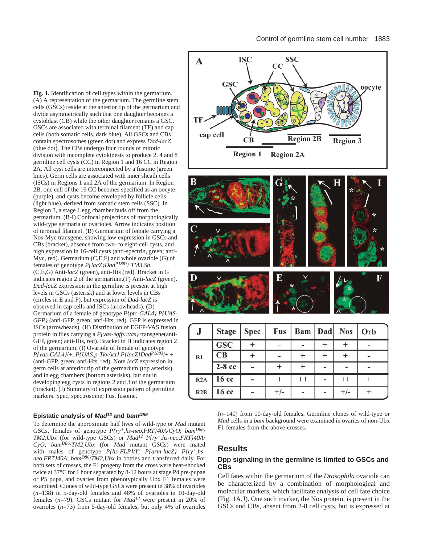#### Control of germline stem cell number 1883

**Fig. 1.** Identification of cell types within the germarium. (A) A representation of the germarium. The germline stem cells (GSCs) reside at the anterior tip of the germarium and divide asymmetrically such that one daughter becomes a cystoblast (CB) while the other daughter remains a GSC. GSCs are associated with terminal filament (TF) and cap cells (both somatic cells, dark blue). All GSCs and CBs contain spectrosomes (green dot) and express *Dad*-*lacZ* (blue dot). The CBs undergo four rounds of mitotic division with incomplete cytokinesis to produce 2, 4 and 8 germline cell cysts (CC) in Region 1 and 16 CC in Region 2A. All cyst cells are interconnected by a fusome (green lines). Germ cells are associated with inner sheath cells (ISCs) in Regions 1 and 2A of the germarium. In Region 2B, one cell of the 16 CC becomes specified as an oocyte (purple), and cysts become enveloped by follicle cells (light blue), derived from somatic stem cells (SSC). In Region 3, a stage 1 egg chamber buds off from the germarium. (B-I) Confocal projections of morphologically wild-type germaria or ovarioles. Arrow indicates position of terminal filament. (B) Germarium of female carrying a Nos-Myc transgene, showing low expression in GSCs and CBs (bracket), absence from two- to eight-cell cysts, and high expression in 16-cell cysts (anti-spectrin, green; anti-Myc, red). Germarium (C,E,F) and whole ovariole (G) of females of genotype *P{lacZ}DadP1883*/ *TM3,Sb*. (C,E,G) Anti-*lacZ* (green), anti-Hts (red). Bracket in G indicates region 2 of the germarium.(F) Anti-*lacZ* (green). *Dad*-*lacZ* expression in the germline is present at high levels in GSCs (asterisk) and at lower levels in CBs (circles in E and F), but expression of *Dad*-*lacZ* is observed in cap cells and ISCs (arrowheads). (D) Germarium of a female of genotype *P{ptc-GAL4} P{UAS-GFP}* (anti-GFP, green; anti-Hts, red). GFP is expressed in ISCs (arrowheads). (H) Distribution of EGFP-VAS fusion protein in flies carrying a *P{vas-egfp::vas}* transgene(anti-GFP, green; anti-Hts, red). Bracket in H indicates region 2 of the germarium. (I) Ovariole of female of genotype *P{vas-GAL4}*/+; *P{UAS.p-TkvAct} P{lacZ}DadP1883*/+ + (anti-GFP, green; anti-Hts, red). Note *lacZ* expression in germ cells at anterior tip of the germarium (top asterisk) and in egg chambers (bottom asterisks), but not in developing egg cysts in regions 2 and 3 of the germarium (bracket). (J) Summary of expression pattern of germline markers. Spec, spectrosome; Fus, fusome.

#### **Epistatic analysis of Mad<sup>12</sup> and bamD86**

To determine the approximate half lives of wild-type or *Mad* mutant GSCs, females of genotype *P{ry+,hs-neo,FRT}40A*/*CyO*; *bamD86*/ *TM2,Ubx* (for wild-type GSCs) or *Mad12 P{ry+,hs-neo,FRT}40A*/ *CyO*; *bamD86*/*TM2,Ubx* (for *Mad* mutant GSCs) were mated with males of genotype *P{hs-FLP}*/*Y; P{arm-lacZ} P{ry+,hsneo,FRT}40A*; *bamD86*/*TM2,Ubx* in bottles and transferred daily. For both sets of crosses, the F1 progeny from the cross were heat-shocked twice at 37°C for 1 hour separated by 8-12 hours at stage P4 pre-pupae or P5 pupa, and ovaries from phenotypically Ubx F1 females were examined. Clones of wild-type GSCs were present in 38% of ovarioles (*n*=138) in 5-day-old females and 48% of ovarioles in 10-day-old females (*n*=79). GSCs mutant for *Mad<sup>12</sup>* were present in 20% of ovarioles (*n*=73) from 5-day-old females, but only 4% of ovarioles



(*n*=140) from 10-day-old females. Germline clones of wild-type or *Mad* cells in a *bam* background were examined in ovaries of non-Ubx F1 females from the above crosses.

# **Results**

# **Dpp signaling in the germline is limited to GSCs and CBs**

Cell fates within the germarium of the *Drosophila* ovariole can be characterized by a combination of morphological and molecular markers, which facilitate analysis of cell fate choice (Fig. 1A,J). One such marker, the Nos protein, is present in the GSCs and CBs, absent from 2-8 cell cysts, but is expressed at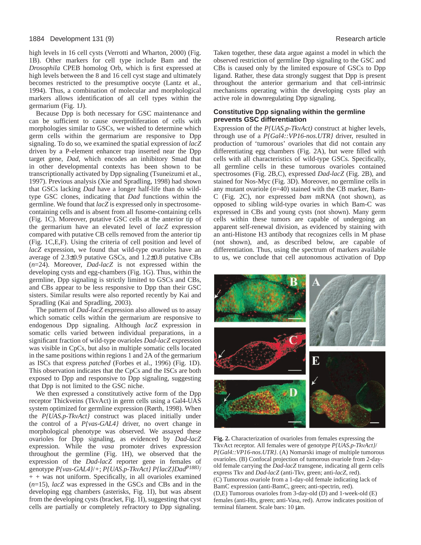high levels in 16 cell cysts (Verrotti and Wharton, 2000) (Fig. 1B). Other markers for cell type include Bam and the *Drosophila* CPEB homolog Orb, which is first expressed at high levels between the 8 and 16 cell cyst stage and ultimately becomes restricted to the presumptive oocyte (Lantz et al., 1994). Thus, a combination of molecular and morphological markers allows identification of all cell types within the germarium (Fig. 1J).

Because Dpp is both necessary for GSC maintenance and can be sufficient to cause overproliferation of cells with morphologies similar to GSCs, we wished to determine which germ cells within the germarium are responsive to Dpp signaling. To do so, we examined the spatial expression of *lacZ* driven by a P-element enhancer trap inserted near the Dpp target gene, *Dad*, which encodes an inhibitory Smad that in other developmental contexts has been shown to be transcriptionally activated by Dpp signaling (Tsuneizumi et al., 1997). Previous analysis (Xie and Spradling, 1998) had shown that GSCs lacking *Dad* have a longer half-life than do wildtype GSC clones, indicating that *Dad* functions within the germline. We found that *lacZ* is expressed only in spectrosomecontaining cells and is absent from all fusome-containing cells (Fig. 1C). Moreover, putative GSC cells at the anterior tip of the germarium have an elevated level of *lacZ* expression compared with putative CB cells removed from the anterior tip (Fig. 1C,E,F). Using the criteria of cell position and level of *lacZ* expression, we found that wild-type ovarioles have an average of 2.3±0.9 putative GSCs, and 1.2±0.8 putative CBs (*n*=24). Moreover, *Dad*-*lacZ* is not expressed within the developing cysts and egg-chambers (Fig. 1G). Thus, within the germline, Dpp signaling is strictly limited to GSCs and CBs, and CBs appear to be less responsive to Dpp than their GSC sisters. Similar results were also reported recently by Kai and Spradling (Kai and Spradling, 2003).

The pattern of *Dad*-*lacZ* expression also allowed us to assay which somatic cells within the germarium are responsive to endogenous Dpp signaling. Although *lacZ* expression in somatic cells varied between individual preparations, in a significant fraction of wild-type ovarioles *Dad*-*lacZ* expression was visible in CpCs, but also in multiple somatic cells located in the same positions within regions 1 and 2A of the germarium as ISCs that express *patched* (Forbes et al., 1996) (Fig. 1D). This observation indicates that the CpCs and the ISCs are both exposed to Dpp and responsive to Dpp signaling, suggesting that Dpp is not limited to the GSC niche.

We then expressed a constitutively active form of the Dpp receptor Thickveins (TkvAct) in germ cells using a Gal4-UAS system optimized for germline expression (Rørth, 1998). When the *P{UAS.p-TkvAct}* construct was placed initially under the control of a *P{vas-GAL4}* driver, no overt change in morphological phenotype was observed. We assayed these ovarioles for Dpp signaling, as evidenced by *Dad*-*lacZ* expression. While the *vasa* promoter drives expression throughout the germline (Fig. 1H), we observed that the expression of the *Dad*-*lacZ* reporter gene in females of genotype *P{vas-GAL4}*/*+*; *P{UAS.p-TkvAct} P{lacZ}DadP1883*/  $+ +$  was not uniform. Specifically, in all ovarioles examined (*n*=15), *lacZ* was expressed in the GSCs and CBs and in the developing egg chambers (asterisks, Fig. 1I), but was absent from the developing cysts (bracket, Fig. 1I), suggesting that cyst cells are partially or completely refractory to Dpp signaling.

Taken together, these data argue against a model in which the observed restriction of germline Dpp signaling to the GSC and CBs is caused only by the limited exposure of GSCs to Dpp ligand. Rather, these data strongly suggest that Dpp is present throughout the anterior germarium and that cell-intrinsic mechanisms operating within the developing cysts play an active role in downregulating Dpp signaling.

#### **Constitutive Dpp signaling within the germline prevents GSC differentiation**

Expression of the *P{UAS.p-TkvAct)* construct at higher levels, through use of a *P{Gal4::VP16-nos.UTR}* driver, resulted in production of 'tumorous' ovarioles that did not contain any differentiating egg chambers (Fig. 2A), but were filled with cells with all characteristics of wild-type GSCs. Specifically, all germline cells in these tumorous ovarioles contained spectrosomes (Fig. 2B,C), expressed *Dad*-*lacZ* (Fig. 2B), and stained for Nos-Myc (Fig. 3D). Moreover, no germline cells in any mutant ovariole (*n*=40) stained with the CB marker, Bam-C (Fig. 2C), nor expressed *bam* mRNA (not shown), as opposed to sibling wild-type ovaries in which Bam-C was expressed in CBs and young cysts (not shown). Many germ cells within these tumors are capable of undergoing an apparent self-renewal division, as evidenced by staining with an anti-Histone H3 antibody that recognizes cells in M phase (not shown), and, as described below, are capable of differentiation. Thus, using the spectrum of markers available to us, we conclude that cell autonomous activation of Dpp



**Fig. 2.** Characterization of ovarioles from females expressing the TkvAct receptor. All females were of genotype *P{UAS.p-TkvAct}*/ *P{Gal4::VP16-nos.UTR}*. (A) Nomarski image of multiple tumorous ovarioles. (B) Confocal projection of tumorous ovariole from 2-dayold female carrying the *Dad*-*lacZ* transgene, indicating all germ cells express Tkv and *Dad*-*lacZ* (anti-Tkv, green; anti-*lacZ*, red). (C) Tumorous ovariole from a 1-day-old female indicating lack of BamC expression (anti-BamC, green; anti-spectrin, red). (D,E) Tumorous ovarioles from 3-day-old (D) and 1-week-old (E) females (anti-Hts, green; anti-Vasa, red). Arrow indicates position of terminal filament. Scale bars: 10 µm.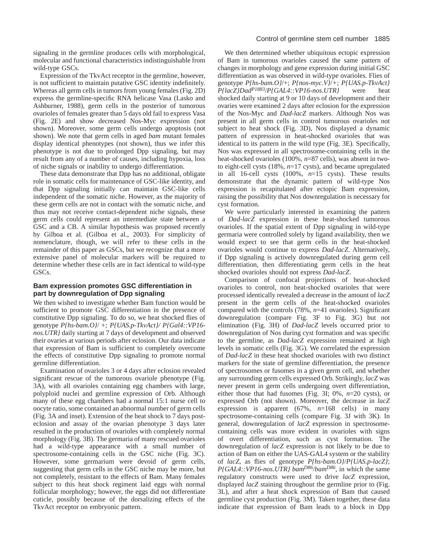signaling in the germline produces cells with morphological, molecular and functional characteristics indistinguishable from wild-type GSCs.

Expression of the TkvAct receptor in the germline, however, is not sufficient to maintain putative GSC identity indefinitely. Whereas all germ cells in tumors from young females (Fig. 2D) express the germline-specific RNA helicase Vasa (Lasko and Ashburner, 1988), germ cells in the posterior of tumorous ovarioles of females greater than 5 days old fail to express Vasa (Fig. 2E) and show decreased Nos-Myc expression (not shown). Moreover, some germ cells undergo apoptosis (not shown). We note that germ cells in aged *bam* mutant females display identical phenotypes (not shown), thus we infer this phenotype is not due to prolonged Dpp signaling, but may result from any of a number of causes, including hypoxia, loss of niche signals or inability to undergo differentiation.

These data demonstrate that Dpp has no additional, obligate role in somatic cells for maintenance of GSC-like identity, and that Dpp signaling initially can maintain GSC-like cells independent of the somatic niche. However, as the majority of these germ cells are not in contact with the somatic niche, and thus may not receive contact-dependent niche signals, these germ cells could represent an intermediate state between a GSC and a CB. A similar hypothesis was proposed recently by Gilboa et al. (Gilboa et al., 2003). For simplicity of nomenclature, though, we will refer to these cells in the remainder of this paper as GSCs, but we recognize that a more extensive panel of molecular markers will be required to determine whether these cells are in fact identical to wild-type GSCs.

# **Bam expression promotes GSC differentiation in part by downregulation of Dpp signaling**

We then wished to investigate whether Bam function would be sufficient to promote GSC differentiation in the presence of constitutive Dpp signaling. To do so, we heat shocked flies of genotype *P{hs-bam.O}*/ +*; P{UAS.p-TkvAct}/ P{Gal4::VP16 nos.UTR}* daily starting at 7 days of development and observed their ovaries at various periods after eclosion. Our data indicate that expression of Bam is sufficient to completely overcome the effects of constitutive Dpp signaling to promote normal germline differentiation.

Examination of ovarioles 3 or 4 days after eclosion revealed significant rescue of the tumorous ovariole phenotype (Fig. 3A), with all ovarioles containing egg chambers with large, polyploid nuclei and germline expression of Orb. Although many of these egg chambers had a normal 15:1 nurse cell to oocyte ratio, some contained an abnormal number of germ cells (Fig. 3A and inset). Extension of the heat shock to 7 days posteclosion and assay of the ovarian phenotype 3 days later resulted in the production of ovarioles with completely normal morphology (Fig. 3B). The germaria of many rescued ovarioles had a wild-type appearance with a small number of spectrosome-containing cells in the GSC niche (Fig. 3C). However, some germarium were devoid of germ cells, suggesting that germ cells in the GSC niche may be more, but not completely, resistant to the effects of Bam. Many females subject to this heat shock regiment laid eggs with normal follicular morphology; however, the eggs did not differentiate cuticle, possibly because of the dorsalizing effects of the TkvAct receptor on embryonic pattern.

We then determined whether ubiquitous ectopic expression of Bam in tumorous ovarioles caused the same pattern of changes in morphology and gene expression during initial GSC differentiation as was observed in wild-type ovarioles. Flies of genotype *P{hs-bam.O}*/+; *P{nos-myc.V}*/*+*; *P{UAS.p-TkvAct} P{lacZ}DadP1883*/*P{GAL4::VP16-nos.UTR}* were heat shocked daily starting at 9 or 10 days of development and their ovaries were examined 2 days after eclosion for the expression of the Nos-Myc and *Dad*-*lacZ* markers. Although Nos was present in all germ cells in control tumorous ovarioles not subject to heat shock (Fig. 3D), Nos displayed a dynamic pattern of expression in heat-shocked ovarioles that was identical to its pattern in the wild type (Fig. 3E). Specifically, Nos was expressed in all spectrosome-containing cells in the heat-shocked ovarioles (100%, *n*=87 cells), was absent in twoto eight-cell cysts (18%, *n*=17 cysts), and became upregulated in all 16-cell cysts (100%, *n*=15 cysts). These results demonstrate that the dynamic pattern of wild-type Nos expression is recapitulated after ectopic Bam expression, raising the possibility that Nos downregulation is necessary for cyst formation.

We were particularly interested in examining the pattern of *Dad*-*lacZ* expression in these heat-shocked tumorous ovarioles. If the spatial extent of Dpp signaling in wild-type germaria were controlled solely by ligand availability, then we would expect to see that germ cells in the heat-shocked ovarioles would continue to express *Dad*-*lacZ*. Alternatively, if Dpp signaling is actively downregulated during germ cell differentiation, then differentiating germ cells in the heat shocked ovarioles should not express *Dad*-*lacZ*.

Comparison of confocal projections of heat-shocked ovarioles to control, non heat-shocked ovarioles that were processed identically revealed a decrease in the amount of *lacZ* present in the germ cells of the heat-shocked ovarioles compared with the controls (78%, *n*=41 ovarioles). Significant downregulation (compare Fig. 3F to Fig. 3G) but not elimination (Fig. 3H) of *Dad*-*lacZ* levels occurred prior to downregulation of Nos during cyst formation and was specific to the germline, as *Dad*-*lacZ* expression remained at high levels in somatic cells (Fig. 3G). We correlated the expression of *Dad*-*lacZ* in these heat shocked ovarioles with two distinct markers for the state of germline differentiation, the presence of spectrosomes or fusomes in a given germ cell, and whether any surrounding germ cells expressed Orb. Strikingly, *lacZ* was never present in germ cells undergoing overt differentiation, either those that had fusomes (Fig. 3I; 0%, *n*=20 cysts), or expressed Orb (not shown). Moreover, the decrease in *lacZ* expression is apparent (67%, *n*=168 cells) in many spectrosome-containing cells (compare Fig. 3J with 3K). In general, downregulation of *lacZ* expression in spectrosomecontaining cells was more evident in ovarioles with signs of overt differentiation, such as cyst formation. The downregulation of *lacZ* expression is not likely to be due to action of Bam on either the UAS-GAL4 system or the stability of *lacZ*, as flies of genotype *P{hs-bam.O}*/*P{UAS.p-lacZ}*; *P{GAL4::VP16-nos.UTR} bamD86*/*bamD86*, in which the same regulatory constructs were used to drive *lacZ* expression, displayed *lacZ* staining throughout the germline prior to (Fig. 3L), and after a heat shock expression of Bam that caused germline cyst production (Fig. 3M). Taken together, these data indicate that expression of Bam leads to a block in Dpp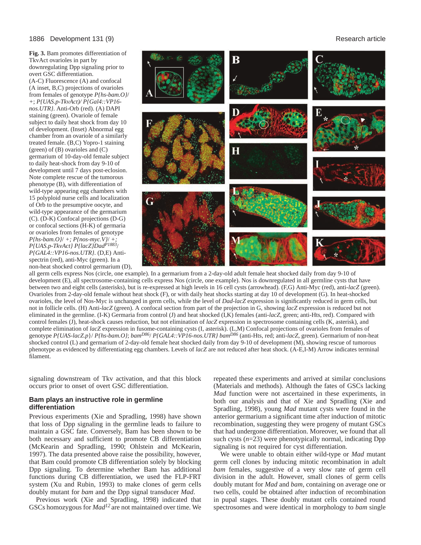#### 1886 Development 131 (9) New York Structure and Structure and Structure and Structure article and Structure article

**Fig. 3.** Bam promotes differentiation of TkvAct ovarioles in part by downregulating Dpp signaling prior to overt GSC differentiation. (A-C) Fluorescence (A) and confocal (A inset, B,C) projections of ovarioles from females of genotype *P{hs-bam.O}*/ *+*; *P{UAS.p-TkvAct)/ P{Gal4::VP16 nos.UTR}*. Anti-Orb (red). (A) DAPI staining (green). Ovariole of female subject to daily heat shock from day 10 of development. (Inset) Abnormal egg chamber from an ovariole of a similarly treated female. (B,C) Yopro-1 staining (green) of (B) ovarioles and (C) germarium of 10-day-old female subject to daily heat-shock from day 9-10 of development until 7 days post-eclosion. Note complete rescue of the tumorous phenotype (B), with differentiation of wild-type appearing egg chambers with 15 polyploid nurse cells and localization of Orb to the presumptive oocyte, and wild-type appearance of the germarium (C). (D-K) Confocal projections (D-G) or confocal sections (H-K) of germaria or ovarioles from females of genotype *P{hs-bam.O}*/ *+; P{nos-myc.V}*/ *+; P{UAS.p-TkvAct} P{lacZ}DadP1883*/ *P{GAL4::VP16-nos.UTR}*. (D,E) Antispectrin (red), anti-Myc (green). In a non-heat shocked control germarium (D),



all germ cells express Nos (circle, one example). In a germarium from a 2-day-old adult female heat shocked daily from day 9-10 of development (E), all spectrosome-containing cells express Nos (circle, one example). Nos is downregulated in all germline cysts that have between two and eight cells (asterisks), but is re-expressed at high levels in 16 cell cysts (arrowhead). (F,G) Anti-Myc (red), anti-*lacZ* (green). Ovarioles from 2-day-old female without heat shock (F), or with daily heat shocks starting at day 10 of development (G). In heat-shocked ovarioles, the level of Nos-Myc is unchanged in germ cells, while the level of *Dad*-*lacZ* expression is significantly reduced in germ cells, but not in follicle cells. (H) Anti-*lacZ* (green). A confocal section from part of the projection in G, showing *lacZ* expression is reduced but not eliminated in the germline. (I-K) Germaria from control (J) and heat shocked (I,K) females (anti-*lacZ*, green; anti-Hts, red). Compared with control females (J), heat-shock causes reduction, but not elimination of *lacZ* expression in spectrosome containing cells (K, asterisk), and complete elimination of *lacZ* expression in fusome-containing cysts (I, asterisk). (L,M) Confocal projections of ovarioles from females of genotype *P{UAS-lacZ.p*}/ *P{hs-bam.O}*; *bamD86*/ *P{GAL4::VP16-nos.UTR} bamD86* (anti-Hts, red; anti-*lacZ*, green). Germarium of non-heat shocked control (L) and germarium of 2-day-old female heat shocked daily from day 9-10 of development (M), showing rescue of tumorous phenotype as evidenced by differentiating egg chambers. Levels of *lacZ* are not reduced after heat shock. (A-E,I-M) Arrow indicates terminal filament.

signaling downstream of Tkv activation, and that this block occurs prior to onset of overt GSC differentiation.

#### **Bam plays an instructive role in germline differentiation**

Previous experiments (Xie and Spradling, 1998) have shown that loss of Dpp signaling in the germline leads to failure to maintain a GSC fate. Conversely, Bam has been shown to be both necessary and sufficient to promote CB differentiation (McKearin and Spradling, 1990; Ohlstein and McKearin, 1997). The data presented above raise the possibility, however, that Bam could promote CB differentiation solely by blocking Dpp signaling. To determine whether Bam has additional functions during CB differentiation, we used the FLP-FRT system (Xu and Rubin, 1993) to make clones of germ cells doubly mutant for *bam* and the Dpp signal transducer *Mad*.

Previous work (Xie and Spradling, 1998) indicated that GSCs homozygous for *Mad12* are not maintained over time. We repeated these experiments and arrived at similar conclusions (Materials and methods). Although the fates of GSCs lacking *Mad* function were not ascertained in these experiments, in both our analysis and that of Xie and Spradling (Xie and Spradling, 1998), young *Mad* mutant cysts were found in the anterior germarium a significant time after induction of mitotic recombination, suggesting they were progeny of mutant GSCs that had undergone differentiation. Moreover, we found that all such cysts (*n*=23) were phenotypically normal, indicating Dpp signaling is not required for cyst differentiation.

We were unable to obtain either wild-type or *Mad* mutant germ cell clones by inducing mitotic recombination in adult *bam* females, suggestive of a very slow rate of germ cell division in the adult. However, small clones of germ cells doubly mutant for *Mad* and *bam*, containing on average one or two cells, could be obtained after induction of recombination in pupal stages. These doubly mutant cells contained round spectrosomes and were identical in morphology to *bam* single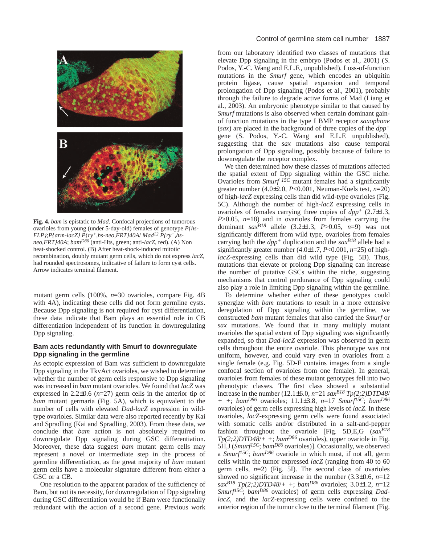

**Fig. 4.** *bam* is epistatic to *Mad*. Confocal projections of tumorous ovarioles from young (under 5-day-old) females of genotype *P{hs-FLP}*;*P{arm-lacZ} P{ry+,hs-neo,FRT}40A*/ *Mad<sup>12</sup> P{ry+,hsneo,FRT}40A*; *bamD86* (anti-Hts, green; anti-*lacZ*, red). (A) Non heat-shocked control. (B) After heat-shock-induced mitotic recombination, doubly mutant germ cells, which do not express *lacZ*, had rounded spectrosomes, indicative of failure to form cyst cells. Arrow indicates terminal filament.

mutant germ cells (100%, *n*=30 ovarioles, compare Fig. 4B with 4A), indicating these cells did not form germline cysts. Because Dpp signaling is not required for cyst differentiation, these data indicate that Bam plays an essential role in CB differentiation independent of its function in downregulating Dpp signaling.

### **Bam acts redundantly with Smurf to downregulate Dpp signaling in the germline**

As ectopic expression of Bam was sufficient to downregulate Dpp signaling in the TkvAct ovarioles, we wished to determine whether the number of germ cells responsive to Dpp signaling was increased in *bam* mutant ovarioles. We found that *lacZ* was expressed in 2.2±0.6 (*n*=27) germ cells in the anterior tip of *bam* mutant germaria (Fig. 5A), which is equivalent to the number of cells with elevated *Dad*-*lacZ* expression in wildtype ovarioles. Similar data were also reported recently by Kai and Spradling (Kai and Spradling, 2003). From these data, we conclude that *bam* action is not absolutely required to downregulate Dpp signaling during GSC differentiation. Moreover, these data suggest *bam* mutant germ cells may represent a novel or intermediate step in the process of germline differentiation, as the great majority of *bam* mutant germ cells have a molecular signature different from either a GSC or a CB.

One resolution to the apparent paradox of the sufficiency of Bam, but not its necessity, for downregulation of Dpp signaling during GSC differentiation would be if Bam were functionally redundant with the action of a second gene. Previous work

#### Control of germline stem cell number 1887

from our laboratory identified two classes of mutations that elevate Dpp signaling in the embryo (Podos et al., 2001) (S. Podos, Y.-C. Wang and E.L.F., unpublished). Loss-of-function mutations in the *Smurf* gene, which encodes an ubiquitin protein ligase, cause spatial expansion and temporal prolongation of Dpp signaling (Podos et al., 2001), probably through the failure to degrade active forms of Mad (Liang et al., 2003). An embryonic phenotype similar to that caused by *Smurf* mutations is also observed when certain dominant gainof function mutations in the type I BMP receptor *saxophone* (*sax*) are placed in the background of three copies of the *dpp<sup>+</sup>* gene (S. Podos, Y.-C. Wang and E.L.F. unpublished), suggesting that the *sax* mutations also cause temporal prolongation of Dpp signaling, possibly because of failure to downregulate the receptor complex.

We then determined how these classes of mutations affected the spatial extent of Dpp signaling within the GSC niche. Ovarioles from *Smurf 15C* mutant females had a significantly greater number (4.0±2.0, *P*<0.001, Neuman-Kuels test, *n*=20) of high-*lacZ* expressing cells than did wild-type ovarioles (Fig. 5C). Although the number of high-*lacZ* expressing cells in ovarioles of females carrying three copies of *dpp+* (2.7±1.3, *P*>0.05, *n*=18) and in ovarioles from females carrying the dominant  $sax^{B18}$  allele (3.2±1.3, *P*>0.05, *n*=9) was not significantly different from wild type, ovarioles from females carrying both the *dpp<sup>+</sup>* duplication and the *saxB18* allele had a significantly greater number (4.0±1.7, *P*<0.001, *n*=25) of high*lacZ*-expressing cells than did wild type (Fig. 5B). Thus, mutations that elevate or prolong Dpp signaling can increase the number of putative GSCs within the niche, suggesting mechanisms that control perdurance of Dpp signaling could also play a role in limiting Dpp signaling within the germline.

To determine whether either of these genotypes could synergize with *bam* mutations to result in a more extensive deregulation of Dpp signaling within the germline, we constructed *bam* mutant females that also carried the *Smurf* or *sax* mutations. We found that in many multiply mutant ovarioles the spatial extent of Dpp signaling was significantly expanded, so that *Dad*-*lacZ* expression was observed in germ cells throughout the entire ovariole. This phenotype was not uniform, however, and could vary even in ovarioles from a single female (e.g. Fig. 5D-F contains images from a single confocal section of ovarioles from one female). In general, ovarioles from females of these mutant genotypes fell into two phenotypic classes. The first class showed a substantial increase in the number (12.1±6.0,  $n=21$  *sax<sup>B18</sup>*  $Tp(2,2)DTD48/$ *+ +*; *bamD86* ovarioles; 11.1±3.8, *n*=17 *Smurf15C*; *bamD86* ovarioles) of germ cells expressing high levels of *lacZ*. In these ovarioles, *lacZ*-expressing germ cells were found associated with somatic cells and/or distributed in a salt-and-pepper fashion throughout the ovariole [Fig. 5D,E,G (*saxB18 Tp(2;2)DTD48*/*+ +*; *bamD86* ovarioles), upper ovariole in Fig. 5H,J (*Smurf15C*; *bamD86* ovarioles)]. Occasionally, we observed a *Smurf*<sup>15C</sup>;  $bam<sup>D86</sup>$  ovariole in which most, if not all, germ cells within the tumor expressed *lacZ* (ranging from 40 to 60 germ cells, *n*=2) (Fig. 5I). The second class of ovarioles showed no significant increase in the number (3.3±0.6, *n*=12 *saxB18 Tp(2;2)DTD48*/*+ +*; *bamD86* ovarioles; 3.0±1.2, *n*=12 *Smurf15C*; *bamD86* ovarioles) of germ cells expressing *DadlacZ*, and the *lacZ*-expressing cells were confined to the anterior region of the tumor close to the terminal filament (Fig.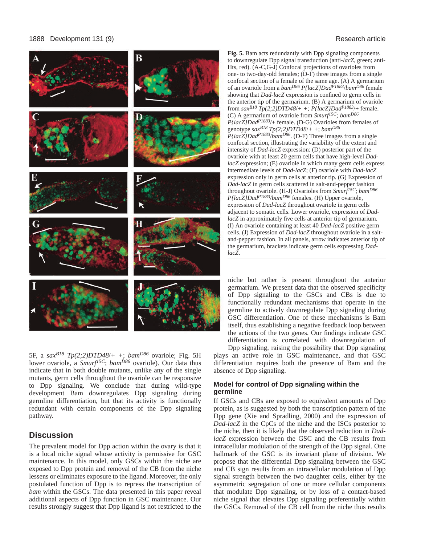#### 1888 Development 131 (9) New York Structure and Structure and Structure and Structure article and Structure article

![](_page_7_Figure_2.jpeg)

5F, a *saxB18 Tp(2;2)DTD48*/*+ +*; *bamD86* ovariole; Fig. 5H lower ovariole, a *Smurf15C*; *bamD86* ovariole). Our data thus indicate that in both double mutants, unlike any of the single mutants, germ cells throughout the ovariole can be responsive to Dpp signaling. We conclude that during wild-type development Bam downregulates Dpp signaling during germline differentiation, but that its activity is functionally redundant with certain components of the Dpp signaling pathway.

# **Discussion**

The prevalent model for Dpp action within the ovary is that it is a local niche signal whose activity is permissive for GSC maintenance. In this model, only GSCs within the niche are exposed to Dpp protein and removal of the CB from the niche lessens or eliminates exposure to the ligand. Moreover, the only postulated function of Dpp is to repress the transcription of *bam* within the GSCs. The data presented in this paper reveal additional aspects of Dpp function in GSC maintenance. Our results strongly suggest that Dpp ligand is not restricted to the **Fig. 5.** Bam acts redundantly with Dpp signaling components to downregulate Dpp signal transduction (anti-*lacZ*, green; anti-Hts, red). (A-C,G-J) Confocal projections of ovarioles from one- to two-day-old females; (D-F) three images from a single confocal section of a female of the same age. (A) A germarium of an ovariole from a *bamD86 P{lacZ}DadP1883*/*bamD86* female showing that *Dad*-*lacZ* expression is confined to germ cells in the anterior tip of the germarium. (B) A germarium of ovariole from *saxB18 Tp(2;2)DTD48*/*+ +; P{lacZ}DadP1883*/+ female. (C) A germarium of ovariole from *Smurf15C; bamD86 P{lacZ}DadP1883*/+ female. (D-G) Ovarioles from females of genotype *saxB18 Tp(2;2)DTD48*/*+ +*; *bamD86 P{lacZ}DadP1883*/*bamD86*. (D-F) Three images from a single confocal section, illustrating the variability of the extent and intensity of *Dad*-*lacZ* expression: (D) posterior part of the ovariole with at least 20 germ cells that have high-level *DadlacZ* expression; (E) ovariole in which many germ cells express intermediate levels of *Dad*-*lacZ*; (F) ovariole with *Dad*-*lacZ* expression only in germ cells at anterior tip. (G) Expression of *Dad*-*lacZ* in germ cells scattered in salt-and-pepper fashion throughout ovariole. (H-J) Ovarioles from *Smurf15C*; *bamD86 P{lacZ}DadP1883*/*bamD86* females. (H) Upper ovariole, expression of *Dad*-*lacZ* throughout ovariole in germ cells adjacent to somatic cells. Lower ovariole, expression of *DadlacZ* in approximately five cells at anterior tip of germarium. (I) An ovariole containing at least 40 *Dad*-*lacZ* positive germ cells. (J) Expression of *Dad*-*lacZ* throughout ovariole in a saltand-pepper fashion. In all panels, arrow indicates anterior tip of the germarium, brackets indicate germ cells expressing *DadlacZ*.

niche but rather is present throughout the anterior germarium. We present data that the observed specificity of Dpp signaling to the GSCs and CBs is due to functionally redundant mechanisms that operate in the germline to actively downregulate Dpp signaling during GSC differentiation. One of these mechanisms is Bam itself, thus establishing a negative feedback loop between the actions of the two genes. Our findings indicate GSC differentiation is correlated with downregulation of Dpp signaling, raising the possibility that Dpp signaling

plays an active role in GSC maintenance, and that GSC differentiation requires both the presence of Bam and the absence of Dpp signaling.

# **Model for control of Dpp signaling within the germline**

If GSCs and CBs are exposed to equivalent amounts of Dpp protein, as is suggested by both the transcription pattern of the Dpp gene (Xie and Spradling, 2000) and the expression of *Dad*-*lacZ* in the CpCs of the niche and the ISCs posterior to the niche, then it is likely that the observed reduction in *DadlacZ* expression between the GSC and the CB results from intracellular modulation of the strength of the Dpp signal. One hallmark of the GSC is its invariant plane of division. We propose that the differential Dpp signaling between the GSC and CB sign results from an intracellular modulation of Dpp signal strength between the two daughter cells, either by the asymmetric segregation of one or more cellular components that modulate Dpp signaling, or by loss of a contact-based niche signal that elevates Dpp signaling preferentially within the GSCs. Removal of the CB cell from the niche thus results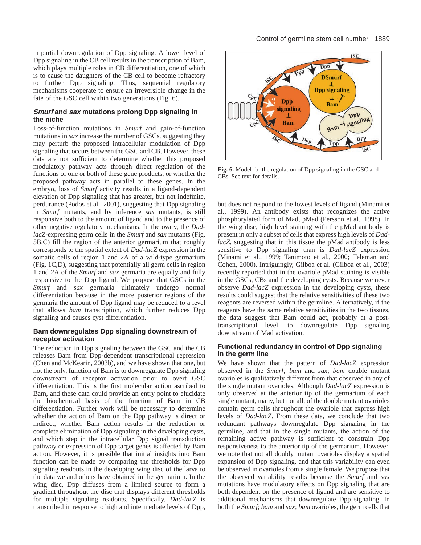in partial downregulation of Dpp signaling. A lower level of Dpp signaling in the CB cell results in the transcription of Bam, which plays multiple roles in CB differentiation, one of which is to cause the daughters of the CB cell to become refractory to further Dpp signaling. Thus, sequential regulatory mechanisms cooperate to ensure an irreversible change in the fate of the GSC cell within two generations (Fig. 6).

# **Smurf and sax mutations prolong Dpp signaling in the niche**

Loss-of-function mutations in *Smurf* and gain-of-function mutations in *sax* increase the number of GSCs, suggesting they may perturb the proposed intracellular modulation of Dpp signaling that occurs between the GSC and CB. However, these data are not sufficient to determine whether this proposed modulatory pathway acts through direct regulation of the functions of one or both of these gene products, or whether the proposed pathway acts in parallel to these genes. In the embryo, loss of *Smurf* activity results in a ligand-dependent elevation of Dpp signaling that has greater, but not indefinite, perdurance (Podos et al., 2001), suggesting that Dpp signaling in *Smurf* mutants, and by inference *sax* mutants, is still responsive both to the amount of ligand and to the presence of other negative regulatory mechanisms. In the ovary, the *DadlacZ*-expressing germ cells in the *Smurf* and *sax* mutants (Fig. 5B,C) fill the region of the anterior germarium that roughly corresponds to the spatial extent of *Dad*-*lacZ* expression in the somatic cells of region 1 and 2A of a wild-type germarium (Fig. 1C,D), suggesting that potentially all germ cells in region 1 and 2A of the *Smurf* and *sax* germaria are equally and fully responsive to the Dpp ligand. We propose that GSCs in the *Smurf* and *sax* germaria ultimately undergo normal differentiation because in the more posterior regions of the germaria the amount of Dpp ligand may be reduced to a level that allows *bam* transcription, which further reduces Dpp signaling and causes cyst differentiation.

### **Bam downregulates Dpp signaling downstream of receptor activation**

The reduction in Dpp signaling between the GSC and the CB releases Bam from Dpp-dependent transcriptional repression (Chen and McKearin, 2003b), and we have shown that one, but not the only, function of Bam is to downregulate Dpp signaling downstream of receptor activation prior to overt GSC differentiation. This is the first molecular action ascribed to Bam, and these data could provide an entry point to elucidate the biochemical basis of the function of Bam in CB differentiation. Further work will be necessary to determine whether the action of Bam on the Dpp pathway is direct or indirect, whether Bam action results in the reduction or complete elimination of Dpp signaling in the developing cysts, and which step in the intracellular Dpp signal transduction pathway or expression of Dpp target genes is affected by Bam action. However, it is possible that initial insights into Bam function can be made by comparing the thresholds for Dpp signaling readouts in the developing wing disc of the larva to the data we and others have obtained in the germarium. In the wing disc, Dpp diffuses from a limited source to form a gradient throughout the disc that displays different thresholds for multiple signaling readouts. Specifically, *Dad*-*lacZ* is transcribed in response to high and intermediate levels of Dpp,

![](_page_8_Figure_6.jpeg)

**Fig. 6.** Model for the regulation of Dpp signaling in the GSC and CBs. See text for details.

but does not respond to the lowest levels of ligand (Minami et al., 1999). An antibody exists that recognizes the active phosphorylated form of Mad, pMad (Persson et al., 1998). In the wing disc, high level staining with the pMad antibody is present in only a subset of cells that express high levels of *DadlacZ*, suggesting that in this tissue the pMad antibody is less sensitive to Dpp signaling than is *Dad*-*lacZ* expression (Minami et al., 1999; Tanimoto et al., 2000; Teleman and Cohen, 2000). Intriguingly, Gilboa et al. (Gilboa et al., 2003) recently reported that in the ovariole pMad staining is visible in the GSCs, CBs and the developing cysts. Because we never observe *Dad*-*lacZ* expression in the developing cysts, these results could suggest that the relative sensitivities of these two reagents are reversed within the germline. Alternatively, if the reagents have the same relative sensitivities in the two tissues, the data suggest that Bam could act, probably at a posttranscriptional level, to downregulate Dpp signaling downstream of Mad activation.

# **Functional redundancy in control of Dpp signaling in the germ line**

We have shown that the pattern of *Dad*-*lacZ* expression observed in the *Smurf; bam* and *sax*; *bam* double mutant ovarioles is qualitatively different from that observed in any of the single mutant ovarioles. Although *Dad*-*lacZ* expression is only observed at the anterior tip of the germarium of each single mutant, many, but not all, of the double mutant ovarioles contain germ cells throughout the ovariole that express high levels of *Dad*-*lacZ*. From these data, we conclude that two redundant pathways downregulate Dpp signaling in the germline, and that in the single mutants, the action of the remaining active pathway is sufficient to constrain Dpp responsiveness to the anterior tip of the germarium. However, we note that not all doubly mutant ovarioles display a spatial expansion of Dpp signaling, and that this variability can even be observed in ovarioles from a single female. We propose that the observed variability results because the *Smurf* and *sax* mutations have modulatory effects on Dpp signaling that are both dependent on the presence of ligand and are sensitive to additional mechanisms that downregulate Dpp signaling. In both the *Smurf*; *bam* and *sax*; *bam* ovarioles, the germ cells that